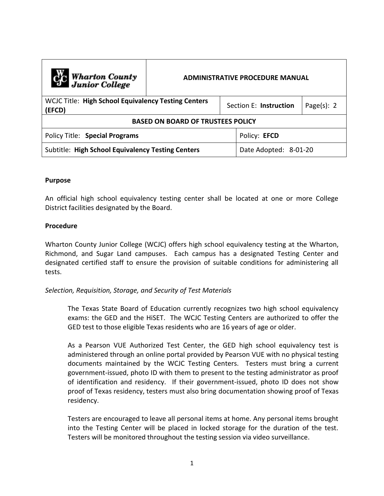| C <sub>o</sub> Wharton County<br>Junior College                      | <b>ADMINISTRATIVE PROCEDURE MANUAL</b> |              |                        |                |
|----------------------------------------------------------------------|----------------------------------------|--------------|------------------------|----------------|
| <b>WCJC Title: High School Equivalency Testing Centers</b><br>(EFCD) |                                        |              | Section E: Instruction | Page $(s)$ : 2 |
| <b>BASED ON BOARD OF TRUSTEES POLICY</b>                             |                                        |              |                        |                |
| Policy Title: Special Programs                                       |                                        | Policy: EFCD |                        |                |
| Subtitle: High School Equivalency Testing Centers                    |                                        |              | Date Adopted: 8-01-20  |                |

## **Purpose**

An official high school equivalency testing center shall be located at one or more College District facilities designated by the Board.

## **Procedure**

Wharton County Junior College (WCJC) offers high school equivalency testing at the Wharton, Richmond, and Sugar Land campuses. Each campus has a designated Testing Center and designated certified staff to ensure the provision of suitable conditions for administering all tests.

# *Selection, Requisition, Storage, and Security of Test Materials*

The Texas State Board of Education currently recognizes two high school equivalency exams: the GED and the HiSET. The WCJC Testing Centers are authorized to offer the GED test to those eligible Texas residents who are 16 years of age or older.

As a Pearson VUE Authorized Test Center, the GED high school equivalency test is administered through an online portal provided by Pearson VUE with no physical testing documents maintained by the WCJC Testing Centers. Testers must bring a current government-issued, photo ID with them to present to the testing administrator as proof of identification and residency. If their government-issued, photo ID does not show proof of Texas residency, testers must also bring documentation showing proof of Texas residency.

Testers are encouraged to leave all personal items at home. Any personal items brought into the Testing Center will be placed in locked storage for the duration of the test. Testers will be monitored throughout the testing session via video surveillance.